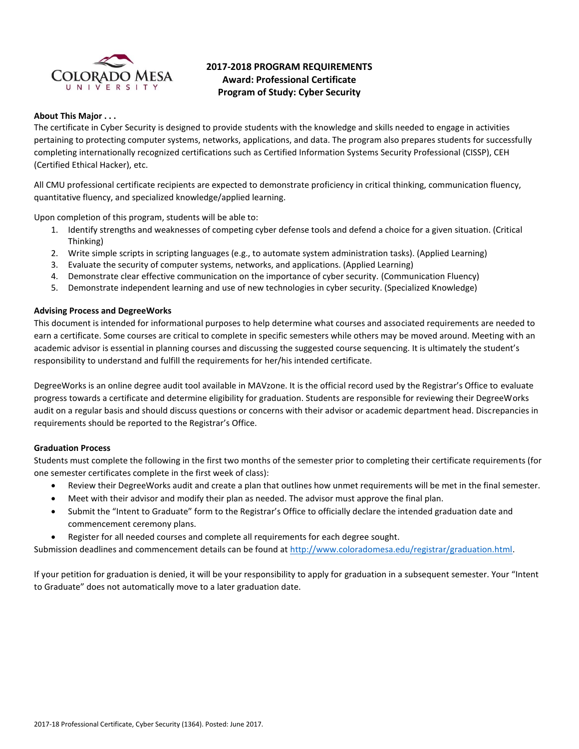

# **2017-2018 PROGRAM REQUIREMENTS Award: Professional Certificate Program of Study: Cyber Security**

## **About This Major . . .**

The certificate in Cyber Security is designed to provide students with the knowledge and skills needed to engage in activities pertaining to protecting computer systems, networks, applications, and data. The program also prepares students for successfully completing internationally recognized certifications such as Certified Information Systems Security Professional (CISSP), CEH (Certified Ethical Hacker), etc.

All CMU professional certificate recipients are expected to demonstrate proficiency in critical thinking, communication fluency, quantitative fluency, and specialized knowledge/applied learning.

Upon completion of this program, students will be able to:

- 1. Identify strengths and weaknesses of competing cyber defense tools and defend a choice for a given situation. (Critical Thinking)
- 2. Write simple scripts in scripting languages (e.g., to automate system administration tasks). (Applied Learning)
- 3. Evaluate the security of computer systems, networks, and applications. (Applied Learning)
- 4. Demonstrate clear effective communication on the importance of cyber security. (Communication Fluency)
- 5. Demonstrate independent learning and use of new technologies in cyber security. (Specialized Knowledge)

#### **Advising Process and DegreeWorks**

This document is intended for informational purposes to help determine what courses and associated requirements are needed to earn a certificate. Some courses are critical to complete in specific semesters while others may be moved around. Meeting with an academic advisor is essential in planning courses and discussing the suggested course sequencing. It is ultimately the student's responsibility to understand and fulfill the requirements for her/his intended certificate.

DegreeWorks is an online degree audit tool available in MAVzone. It is the official record used by the Registrar's Office to evaluate progress towards a certificate and determine eligibility for graduation. Students are responsible for reviewing their DegreeWorks audit on a regular basis and should discuss questions or concerns with their advisor or academic department head. Discrepancies in requirements should be reported to the Registrar's Office.

## **Graduation Process**

Students must complete the following in the first two months of the semester prior to completing their certificate requirements (for one semester certificates complete in the first week of class):

- Review their DegreeWorks audit and create a plan that outlines how unmet requirements will be met in the final semester.
- Meet with their advisor and modify their plan as needed. The advisor must approve the final plan.
- Submit the "Intent to Graduate" form to the Registrar's Office to officially declare the intended graduation date and commencement ceremony plans.
- Register for all needed courses and complete all requirements for each degree sought.

Submission deadlines and commencement details can be found at [http://www.coloradomesa.edu/registrar/graduation.html.](http://www.coloradomesa.edu/registrar/graduation.html)

If your petition for graduation is denied, it will be your responsibility to apply for graduation in a subsequent semester. Your "Intent to Graduate" does not automatically move to a later graduation date.